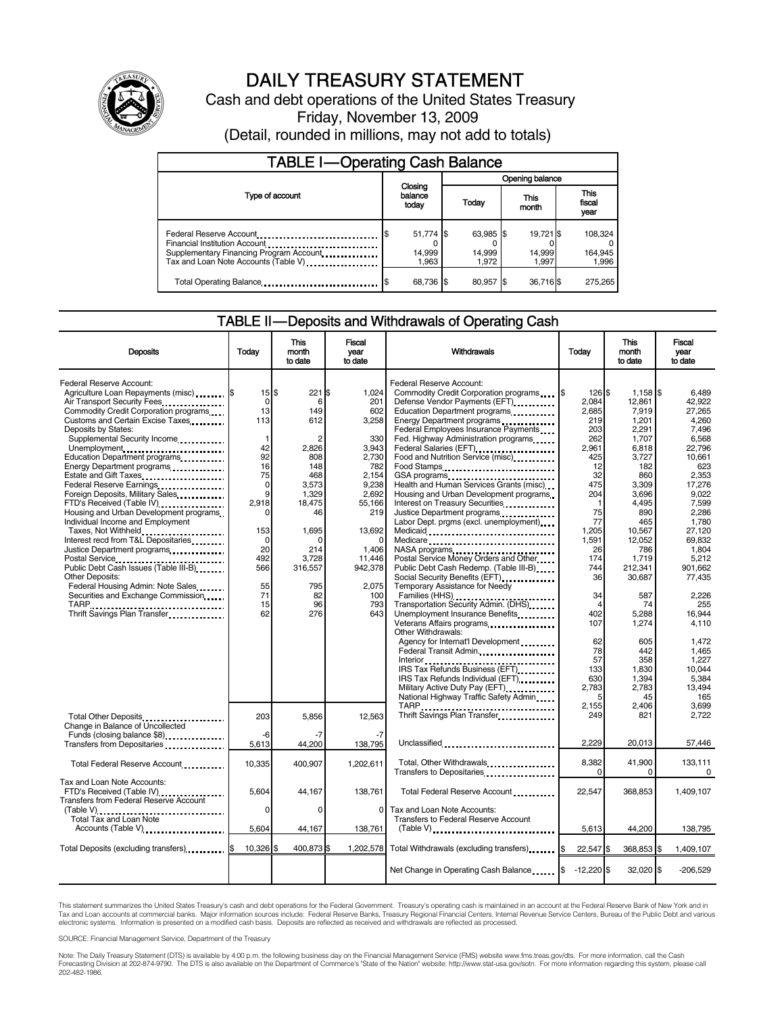

# DAILY TREASURY STATEMENT

Cash and debt operations of the United States Treasury Friday, November 13, 2009 (Detail, rounded in millions, may not add to totals)

| <b>TABLE I-Operating Cash Balance</b>                                                                       |                              |  |                              |  |                              |  |                               |
|-------------------------------------------------------------------------------------------------------------|------------------------------|--|------------------------------|--|------------------------------|--|-------------------------------|
|                                                                                                             | Closing<br>balance<br>today  |  | Opening balance              |  |                              |  |                               |
| Type of account                                                                                             |                              |  | Today                        |  | This<br>month                |  | <b>This</b><br>fiscal<br>year |
| Federal Reserve Account<br>Supplementary Financing Program Account.<br>Tax and Loan Note Accounts (Table V) | 51,774 \$<br>14.999<br>1.963 |  | 63,985 \$<br>14.999<br>1.972 |  | 19.721 \$<br>14,999<br>1.997 |  | 108,324<br>164,945<br>1,996   |
| Total Operating Balance                                                                                     | 68,736 \$                    |  | 80.957 \$                    |  | 36,716 \$                    |  | 275,265                       |

### TABLE II — Deposits and Withdrawals of Operating Cash

| <b>Deposits</b>                                                                                                                                                                                                                                                                                                                                                                                                                                                                                                                                                                                                                                                                                                                                                                                                      | Todav                                                                                                                                                                 | This<br>month<br>to date                                                                                                                              | <b>Fiscal</b><br>year<br>to date                                                                                                                                               | Withdrawals                                                                                                                                                                                                                                                                                                                                                                                                                                                                                                                                                                                                                                                                                                                                                                                                                                                                                                                                                                                                                                                                        | Today                                                                                                                                                                                                                                                           | <b>This</b><br>month<br>to date                                                                                                                                                                                                                                                 | <b>Fiscal</b><br>vear<br>to date                                                                                                                                                                                                                                                                    |
|----------------------------------------------------------------------------------------------------------------------------------------------------------------------------------------------------------------------------------------------------------------------------------------------------------------------------------------------------------------------------------------------------------------------------------------------------------------------------------------------------------------------------------------------------------------------------------------------------------------------------------------------------------------------------------------------------------------------------------------------------------------------------------------------------------------------|-----------------------------------------------------------------------------------------------------------------------------------------------------------------------|-------------------------------------------------------------------------------------------------------------------------------------------------------|--------------------------------------------------------------------------------------------------------------------------------------------------------------------------------|------------------------------------------------------------------------------------------------------------------------------------------------------------------------------------------------------------------------------------------------------------------------------------------------------------------------------------------------------------------------------------------------------------------------------------------------------------------------------------------------------------------------------------------------------------------------------------------------------------------------------------------------------------------------------------------------------------------------------------------------------------------------------------------------------------------------------------------------------------------------------------------------------------------------------------------------------------------------------------------------------------------------------------------------------------------------------------|-----------------------------------------------------------------------------------------------------------------------------------------------------------------------------------------------------------------------------------------------------------------|---------------------------------------------------------------------------------------------------------------------------------------------------------------------------------------------------------------------------------------------------------------------------------|-----------------------------------------------------------------------------------------------------------------------------------------------------------------------------------------------------------------------------------------------------------------------------------------------------|
| Federal Reserve Account:<br>Agriculture Loan Repayments (misc) [\$<br>Air Transport Security Fees<br>Commodity Credit Corporation programs<br>Customs and Certain Excise Taxes<br>Deposits by States:<br>Supplemental Security Income<br>Unemployment<br>Education Department programs<br>Energy Department programs<br><br>Estate and Gift Taxes<br>Federal Reserve Earnings<br>Foreign Deposits, Military Sales<br>FTD's Received (Table IV)<br>Housing and Urban Development programs<br>Individual Income and Employment<br>Taxes, Not Withheld<br>Interest recd from T&L Depositaries<br>Justice Department programs<br><br>Public Debt Cash Issues (Table III-B).<br><b>Other Deposits:</b><br>Federal Housing Admin: Note Sales<br>Securities and Exchange Commission<br>TARP<br>Thrift Savings Plan Transfer | $15$ $$$<br>$\Omega$<br>13<br>113<br>$\mathbf{1}$<br>42<br>92<br>16<br>75<br>$\mathbf 0$<br>9<br>2,918<br>153<br>$\Omega$<br>20<br>492<br>566<br>55<br>71<br>15<br>62 | 221S<br>6<br>149<br>612<br>2,826<br>808<br>148<br>468<br>3,573<br>1,329<br>18,475<br>46<br>1.695<br>214<br>3,728<br>316,557<br>795<br>82<br>96<br>276 | 1,024<br>201<br>602<br>3,258<br>330<br>3,943<br>2,730<br>782<br>2.154<br>9,238<br>2,692<br>55,166<br>219<br>13,692<br>1,406<br>11,446<br>942,378<br>2.075<br>100<br>793<br>643 | Federal Reserve Account:<br>Commodity Credit Corporation programs<br>Defense Vendor Payments (EFT)<br>Education Department programs<br>Energy Department programs<br><br>Federal Employees Insurance Payments<br>Fed. Highway Administration programs<br>Federal Salaries (EFT)<br>Food and Nutrition Service (misc)<br>Food Stamps<br>Health and Human Services Grants (misc)<br>Housing and Urban Development programs<br>Interest on Treasury Securities<br>Justice Department programs<br>Labor Dept. prgms (excl. unemployment)<br>Medicaid<br>Medicare<br>NASA programs<br>Postal Service Money Orders and Other<br>Public Debt Cash Redemp. (Table III-B)<br>Social Security Benefits (EFT)<br>Temporary Assistance for Needy<br>Transportation Security Admin. (DHS)<br>Unemployment Insurance Benefits<br>Veterans Affairs programs<br>Other Withdrawals:<br>Agency for Internat'l Development<br>Federal Transit Admin.<br>IRS Tax Refunds Business (EFT)<br>IRS Tax Refunds Individual (EFT)<br>Military Active Duty Pay (EFT)<br>National Highway Traffic Safety Admin | $\mathsf{I}_\mathsf{S}$<br>126 \$<br>2.084<br>2,685<br>219<br>203<br>262<br>2,961<br>425<br>12<br>32<br>475<br>204<br>-1<br>75<br>77<br>1.205<br>1,591<br>26<br>174<br>744<br>36<br>34<br>$\overline{4}$<br>402<br>107<br>62<br>78<br>57<br>133<br>630<br>2.783 | $1,158$ \$<br>12.861<br>7,919<br>1,201<br>2,291<br>1,707<br>6,818<br>3,727<br>182<br>860<br>3,309<br>3,696<br>4,495<br>890<br>465<br>10,567<br>12,052<br>786<br>1,719<br>212,341<br>30,687<br>587<br>74<br>5,288<br>1,274<br>605<br>442<br>358<br>1,830<br>1,394<br>2,783<br>45 | 6,489<br>42.922<br>27,265<br>4.260<br>7.496<br>6,568<br>22,796<br>10,661<br>623<br>2,353<br>17,276<br>9.022<br>7,599<br>2.286<br>1,780<br>27.120<br>69,832<br>1,804<br>5,212<br>901.662<br>77,435<br>2,226<br>255<br>16,944<br>4,110<br>1,472<br>1,465<br>1,227<br>10.044<br>5,384<br>13.494<br>165 |
| Total Other Deposits<br>Change in Balance of Uncollected<br>Funds (closing balance \$8)                                                                                                                                                                                                                                                                                                                                                                                                                                                                                                                                                                                                                                                                                                                              | 203<br>-6                                                                                                                                                             | 5,856<br>-7                                                                                                                                           | 12,563<br>-7                                                                                                                                                                   | TARP<br>Thrift Savings Plan Transfer                                                                                                                                                                                                                                                                                                                                                                                                                                                                                                                                                                                                                                                                                                                                                                                                                                                                                                                                                                                                                                               | 2,155<br>249                                                                                                                                                                                                                                                    | 2,406<br>821                                                                                                                                                                                                                                                                    | 3,699<br>2,722                                                                                                                                                                                                                                                                                      |
| Total Federal Reserve Account                                                                                                                                                                                                                                                                                                                                                                                                                                                                                                                                                                                                                                                                                                                                                                                        | 5.613<br>10,335                                                                                                                                                       | 44.200<br>400,907                                                                                                                                     | 138.795<br>1,202,611                                                                                                                                                           | Unclassified<br>Total, Other Withdrawals<br>Transfers to Depositaries                                                                                                                                                                                                                                                                                                                                                                                                                                                                                                                                                                                                                                                                                                                                                                                                                                                                                                                                                                                                              | 2,229<br>8,382<br>$\Omega$                                                                                                                                                                                                                                      | 20,013<br>41,900<br>0                                                                                                                                                                                                                                                           | 57,446<br>133,111<br>$\Omega$                                                                                                                                                                                                                                                                       |
| Tax and Loan Note Accounts:<br>FTD's Received (Table IV)<br>Transfers from Federal Reserve Account<br>Total Tax and Loan Note<br>Accounts (Table V)                                                                                                                                                                                                                                                                                                                                                                                                                                                                                                                                                                                                                                                                  | 5.604<br>$\mathbf 0$<br>5,604                                                                                                                                         | 44.167<br>0<br>44,167                                                                                                                                 | 138.761<br>$\Omega$<br>138,761                                                                                                                                                 | Total Federal Reserve Account<br>Tax and Loan Note Accounts:<br>Transfers to Federal Reserve Account<br>$(Table V)$                                                                                                                                                                                                                                                                                                                                                                                                                                                                                                                                                                                                                                                                                                                                                                                                                                                                                                                                                                | 22.547<br>5.613                                                                                                                                                                                                                                                 | 368.853<br>44,200                                                                                                                                                                                                                                                               | 1.409.107<br>138,795                                                                                                                                                                                                                                                                                |
| Total Deposits (excluding transfers) [\$                                                                                                                                                                                                                                                                                                                                                                                                                                                                                                                                                                                                                                                                                                                                                                             | 10,326 \$                                                                                                                                                             | 400,873 \$                                                                                                                                            |                                                                                                                                                                                | 1,202,578 Total Withdrawals (excluding transfers) \$                                                                                                                                                                                                                                                                                                                                                                                                                                                                                                                                                                                                                                                                                                                                                                                                                                                                                                                                                                                                                               | 22.547 \$                                                                                                                                                                                                                                                       | 368.853 \$                                                                                                                                                                                                                                                                      | 1.409.107                                                                                                                                                                                                                                                                                           |
|                                                                                                                                                                                                                                                                                                                                                                                                                                                                                                                                                                                                                                                                                                                                                                                                                      |                                                                                                                                                                       |                                                                                                                                                       |                                                                                                                                                                                | Net Change in Operating Cash Balance  \$                                                                                                                                                                                                                                                                                                                                                                                                                                                                                                                                                                                                                                                                                                                                                                                                                                                                                                                                                                                                                                           | $-12,220$ \$                                                                                                                                                                                                                                                    | $32,020$ \$                                                                                                                                                                                                                                                                     | $-206,529$                                                                                                                                                                                                                                                                                          |

This statement summarizes the United States Treasury's cash and debt operations for the Federal Government. Treasury's operating cash is maintained in an account at the Federal Reserve Bank of New York and in Tax and Loan accounts at commercial banks. Major information sources include: Federal Reserve Banks, Treasury Regional Financial Centers, Internal Revenue Service Centers, Bureau of the Public Debt and various<br>electronic s

SOURCE: Financial Management Service, Department of the Treasury

Note: The Daily Treasury Statement (DTS) is available by 4:00 p.m. the following business day on the Financial Management Service (FMS) website www.fms.treas.gov/dts. For more information, call the Cash<br>Forecasting Divisio